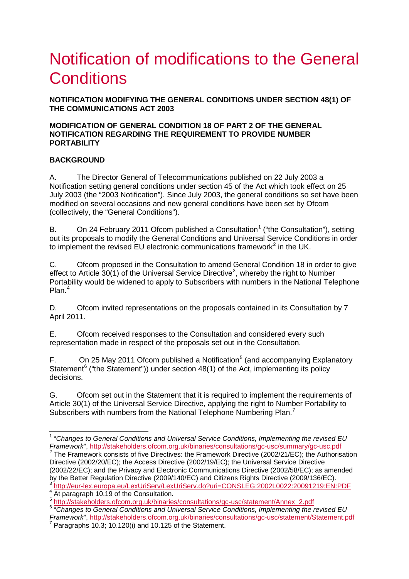# Notification of modifications to the General **Conditions**

**NOTIFICATION MODIFYING THE GENERAL CONDITIONS UNDER SECTION 48(1) OF THE COMMUNICATIONS ACT 2003** 

#### **MODIFICATION OF GENERAL CONDITION 18 OF PART 2 OF THE GENERAL NOTIFICATION REGARDING THE REQUIREMENT TO PROVIDE NUMBER PORTABILITY**

### **BACKGROUND**

A. The Director General of Telecommunications published on 22 July 2003 a Notification setting general conditions under section 45 of the Act which took effect on 25 July 2003 (the "2003 Notification"). Since July 2003, the general conditions so set have been modified on several occasions and new general conditions have been set by Ofcom (collectively, the "General Conditions").

B. On 24 February 20[1](#page-0-0)1 Ofcom published a Consultation<sup>1</sup> ("the Consultation"), setting out its proposals to modify the General Conditions and Universal Service Conditions in order to implement the revised EU electronic communications framework<sup>[2](#page-0-1)</sup> in the UK.

C. Ofcom proposed in the Consultation to amend General Condition 18 in order to give effect to Article [3](#page-0-2)0(1) of the Universal Service Directive<sup>3</sup>, whereby the right to Number Portability would be widened to apply to Subscribers with numbers in the National Telephone Plan. [4](#page-0-3)

D. Ofcom invited representations on the proposals contained in its Consultation by 7 April 2011.

E. Ofcom received responses to the Consultation and considered every such representation made in respect of the proposals set out in the Consultation.

F. On 2[5](#page-0-4) May 2011 Ofcom published a Notification<sup>5</sup> (and accompanying Explanatory Statement<sup>[6](#page-0-5)</sup> ("the Statement")) under section 48(1) of the Act, implementing its policy decisions.

G. Ofcom set out in the Statement that it is required to implement the requirements of Article 30(1) of the Universal Service Directive, applying the right to Number Portability to Subscribers with numbers from the National Telephone Numbering Plan.<sup>[7](#page-0-6)</sup>

<span id="page-0-0"></span> <sup>1</sup> "*Changes to General Conditions and Universal Service Conditions, Implementing the revised EU Framework*",<http://stakeholders.ofcom.org.uk/binaries/consultations/gc-usc/summary/gc-usc.pdf><br><sup>2</sup> The Framework consists of five Directives: the Framework Directive (2002/21/EC); the Authorisation

<span id="page-0-1"></span>Directive (2002/20/EC); the Access Directive (2002/19/EC); the Universal Service Directive (2002/22/EC); and the Privacy and Electronic Communications Directive (2002/58/EC); as amended by the Better Regulation Directive (2009/140/EC) and Citizens Rights Directive (2009/136/EC).

<span id="page-0-3"></span><span id="page-0-2"></span><sup>&</sup>lt;sup>3</sup> <http://eur-lex.europa.eu/LexUriServ/LexUriServ.do?uri=CONSLEG:2002L0022:20091219:EN:PDF><br>
<sup>4</sup> At paragraph 10.19 of the Consultation.<br>
<sup>5</sup> http://stakeholders.ofcom.org.uk/binaries/consultations/gc-usc/statement/Annex\_2

<span id="page-0-5"></span><span id="page-0-4"></span><sup>&</sup>lt;sup>6</sup> "Changes to General Conditions and Universal Service Conditions, Implementing the revised EU<br>Framework". http://stakeholders.ofcom.org.uk/binaries/consultations/gc-usc/statement/Statement.pdf

<span id="page-0-6"></span>*Framework* 10.3; 10.120(i) and 10.125 of the Statement.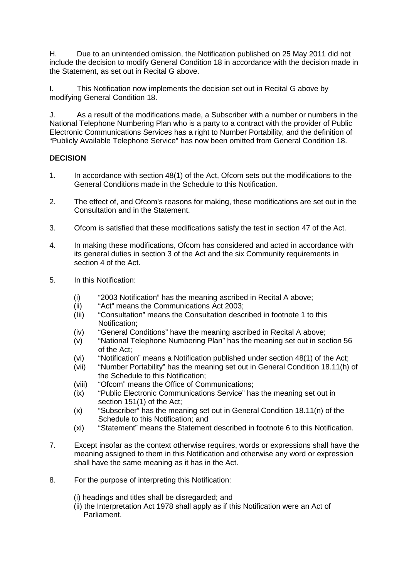H. Due to an unintended omission, the Notification published on 25 May 2011 did not include the decision to modify General Condition 18 in accordance with the decision made in the Statement, as set out in Recital G above.

I. This Notification now implements the decision set out in Recital G above by modifying General Condition 18.

J. As a result of the modifications made, a Subscriber with a number or numbers in the National Telephone Numbering Plan who is a party to a contract with the provider of Public Electronic Communications Services has a right to Number Portability, and the definition of "Publicly Available Telephone Service" has now been omitted from General Condition 18.

### **DECISION**

- 1. In accordance with section 48(1) of the Act, Ofcom sets out the modifications to the General Conditions made in the Schedule to this Notification.
- 2. The effect of, and Ofcom's reasons for making, these modifications are set out in the Consultation and in the Statement.
- 3. Ofcom is satisfied that these modifications satisfy the test in section 47 of the Act.
- 4. In making these modifications, Ofcom has considered and acted in accordance with its general duties in section 3 of the Act and the six Community requirements in section 4 of the Act.
- 5. In this Notification:
	- (i) "2003 Notification" has the meaning ascribed in Recital A above;
	- (ii) "Act" means the Communications Act 2003;
	- (Iii) "Consultation" means the Consultation described in footnote 1 to this Notification;
	- (iv) "General Conditions" have the meaning ascribed in Recital A above;
	- (v) "National Telephone Numbering Plan" has the meaning set out in section 56 of the Act;
	- (vi) "Notification" means a Notification published under section 48(1) of the Act;
	- (vii) "Number Portability" has the meaning set out in General Condition 18.11(h) of the Schedule to this Notification;
	- (viii) "Ofcom" means the Office of Communications;
	- (ix) "Public Electronic Communications Service" has the meaning set out in section 151(1) of the Act;
	- (x) "Subscriber" has the meaning set out in General Condition 18.11(n) of the Schedule to this Notification; and
	- (xi) "Statement" means the Statement described in footnote 6 to this Notification.
- 7. Except insofar as the context otherwise requires, words or expressions shall have the meaning assigned to them in this Notification and otherwise any word or expression shall have the same meaning as it has in the Act.
- 8. For the purpose of interpreting this Notification:
	- (i) headings and titles shall be disregarded; and
	- (ii) the Interpretation Act 1978 shall apply as if this Notification were an Act of Parliament.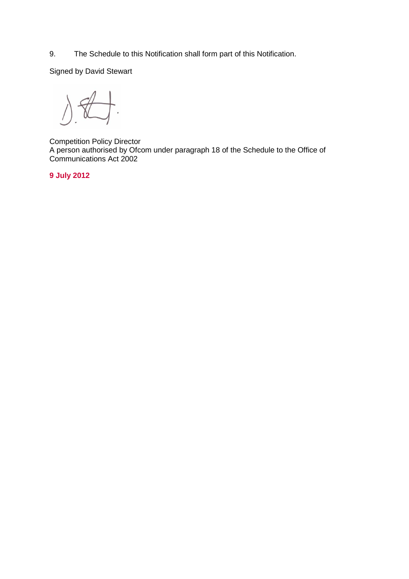9. The Schedule to this Notification shall form part of this Notification.

Signed by David Stewart

 $\frac{1}{\sqrt{2}}$  $\big\}$ .  $\Delta$ 

Competition Policy Director A person authorised by Ofcom under paragraph 18 of the Schedule to the Office of Communications Act 2002

**9 July 2012**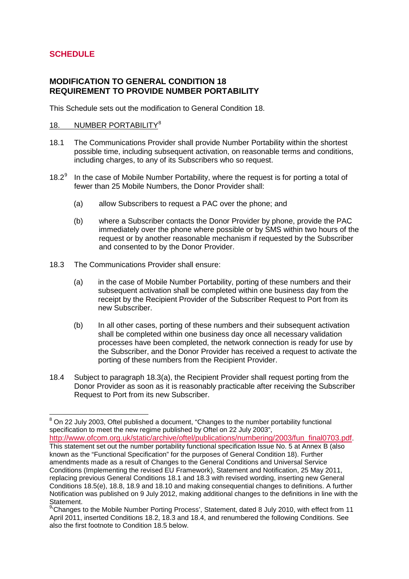# **SCHEDULE**

## **MODIFICATION TO GENERAL CONDITION 18 REQUIREMENT TO PROVIDE NUMBER PORTABILITY**

This Schedule sets out the modification to General Condition 18.

#### 1[8](#page-3-0). NUMBER PORTABILITY<sup>8</sup>

- 18.1 The Communications Provider shall provide Number Portability within the shortest possible time, including subsequent activation, on reasonable terms and conditions, including charges, to any of its Subscribers who so request.
- 18.2 $^9$  $^9$  In the case of Mobile Number Portability, where the request is for porting a total of fewer than 25 Mobile Numbers, the Donor Provider shall:
	- (a) allow Subscribers to request a PAC over the phone; and
	- (b) where a Subscriber contacts the Donor Provider by phone, provide the PAC immediately over the phone where possible or by SMS within two hours of the request or by another reasonable mechanism if requested by the Subscriber and consented to by the Donor Provider.
- 18.3 The Communications Provider shall ensure:
	- (a) in the case of Mobile Number Portability, porting of these numbers and their subsequent activation shall be completed within one business day from the receipt by the Recipient Provider of the Subscriber Request to Port from its new Subscriber.
	- (b) In all other cases, porting of these numbers and their subsequent activation shall be completed within one business day once all necessary validation processes have been completed, the network connection is ready for use by the Subscriber, and the Donor Provider has received a request to activate the porting of these numbers from the Recipient Provider.
- 18.4 Subject to paragraph 18.3(a), the Recipient Provider shall request porting from the Donor Provider as soon as it is reasonably practicable after receiving the Subscriber Request to Port from its new Subscriber.

[http://www.ofcom.org.uk/static/archive/oftel/publications/numbering/2003/fun\\_final0703.pdf.](http://www.ofcom.org.uk/static/archive/oftel/publications/numbering/2003/fun_final0703.pdf) This statement set out the number portability functional specification Issue No. 5 at Annex B (also known as the "Functional Specification" for the purposes of General Condition 18). Further amendments made as a result of Changes to the General Conditions and Universal Service Conditions (Implementing the revised EU Framework), Statement and Notification, 25 May 2011, replacing previous General Conditions 18.1 and 18.3 with revised wording, inserting new General Conditions 18.5(e), 18.8, 18.9 and 18.10 and making consequential changes to definitions. A further Notification was published on 9 July 2012, making additional changes to the definitions in line with the

<span id="page-3-0"></span> $8$  On 22 July 2003, Oftel published a document, "Changes to the number portability functional specification to meet the new regime published by Oftel on 22 July 2003",

Statement.<br><sup>9</sup>'Changes to the Mobile Number Porting Process', Statement, dated 8 July 2010, with effect from 11 April 2011, inserted Conditions 18.2, 18.3 and 18.4, and renumbered the following Conditions. See also the first footnote to Condition 18.5 below.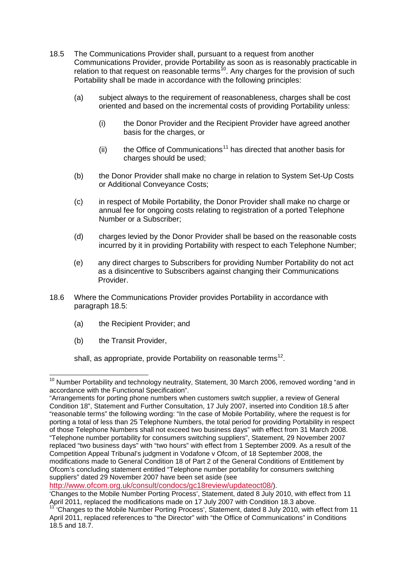- 18.5 The Communications Provider shall, pursuant to a request from another Communications Provider, provide Portability as soon as is reasonably practicable in relation to that request on reasonable terms<sup>[10](#page-4-0)</sup>. Any charges for the provision of such Portability shall be made in accordance with the following principles:
	- (a) subject always to the requirement of reasonableness, charges shall be cost oriented and based on the incremental costs of providing Portability unless:
		- (i) the Donor Provider and the Recipient Provider have agreed another basis for the charges, or
		- (ii) the Office of Communications<sup>[11](#page-4-0)</sup> has directed that another basis for charges should be used;
	- (b) the Donor Provider shall make no charge in relation to System Set-Up Costs or Additional Conveyance Costs;
	- (c) in respect of Mobile Portability, the Donor Provider shall make no charge or annual fee for ongoing costs relating to registration of a ported Telephone Number or a Subscriber;
	- (d) charges levied by the Donor Provider shall be based on the reasonable costs incurred by it in providing Portability with respect to each Telephone Number;
	- (e) any direct charges to Subscribers for providing Number Portability do not act as a disincentive to Subscribers against changing their Communications Provider.
- 18.6 Where the Communications Provider provides Portability in accordance with paragraph 18.5:
	- (a) the Recipient Provider; and
	- (b) the Transit Provider,

shall, as appropriate, provide Portability on reasonable terms<sup>[12](#page-4-1)</sup>.

<span id="page-4-1"></span>[http://www.ofcom.org.uk/consult/condocs/gc18review/updateoct08/\)](http://www.ofcom.org.uk/consult/condocs/gc18review/updateoct08/).

<span id="page-4-0"></span><sup>&</sup>lt;sup>10</sup> Number Portability and technology neutrality, Statement, 30 March 2006, removed wording "and in accordance with the Functional Specification".

<sup>&</sup>quot;Arrangements for porting phone numbers when customers switch supplier, a review of General Condition 18", Statement and Further Consultation, 17 July 2007, inserted into Condition 18.5 after "reasonable terms" the following wording: "In the case of Mobile Portability, where the request is for porting a total of less than 25 Telephone Numbers, the total period for providing Portability in respect of those Telephone Numbers shall not exceed two business days" with effect from 31 March 2008. "Telephone number portability for consumers switching suppliers", Statement, 29 November 2007 replaced "two business days" with "two hours" with effect from 1 September 2009. As a result of the Competition Appeal Tribunal's judgment in Vodafone v Ofcom, of 18 September 2008, the modifications made to General Condition 18 of Part 2 of the General Conditions of Entitlement by Ofcom's concluding statement entitled "Telephone number portability for consumers switching suppliers" dated 29 November 2007 have been set aside (see

<sup>&#</sup>x27;Changes to the Mobile Number Porting Process', Statement, dated 8 July 2010, with effect from 11 April 2011, replaced the modifications made on 17 July 2007 with Condition 18.3 above.

<sup>11</sup> 'Changes to the Mobile Number Porting Process', Statement, dated 8 July 2010, with effect from 11 April 2011, replaced references to "the Director" with "the Office of Communications" in Conditions 18.5 and 18.7.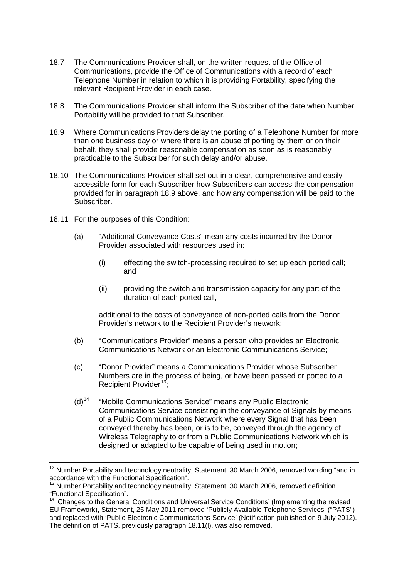- 18.7 The Communications Provider shall, on the written request of the Office of Communications, provide the Office of Communications with a record of each Telephone Number in relation to which it is providing Portability, specifying the relevant Recipient Provider in each case.
- 18.8 The Communications Provider shall inform the Subscriber of the date when Number Portability will be provided to that Subscriber.
- 18.9 Where Communications Providers delay the porting of a Telephone Number for more than one business day or where there is an abuse of porting by them or on their behalf, they shall provide reasonable compensation as soon as is reasonably practicable to the Subscriber for such delay and/or abuse.
- 18.10 The Communications Provider shall set out in a clear, comprehensive and easily accessible form for each Subscriber how Subscribers can access the compensation provided for in paragraph 18.9 above, and how any compensation will be paid to the Subscriber.
- 18.11 For the purposes of this Condition:
	- (a) "Additional Conveyance Costs" mean any costs incurred by the Donor Provider associated with resources used in:
		- (i) effecting the switch-processing required to set up each ported call; and
		- (ii) providing the switch and transmission capacity for any part of the duration of each ported call,

additional to the costs of conveyance of non-ported calls from the Donor Provider's network to the Recipient Provider's network;

- (b) "Communications Provider" means a person who provides an Electronic Communications Network or an Electronic Communications Service;
- (c) "Donor Provider" means a Communications Provider whose Subscriber Numbers are in the process of being, or have been passed or ported to a Recipient Provider<sup>[13](#page-5-0)</sup>;
- (d)[14](#page-5-0) "Mobile Communications Service" means any Public Electronic Communications Service consisting in the conveyance of Signals by means of a Public Communications Network where every Signal that has been conveyed thereby has been, or is to be, conveyed through the agency of Wireless Telegraphy to or from a Public Communications Network which is designed or adapted to be capable of being used in motion;

<span id="page-5-0"></span><sup>&</sup>lt;sup>12</sup> Number Portability and technology neutrality, Statement, 30 March 2006, removed wording "and in accordance with the Functional Specification".

 $13$  Number Portability and technology neutrality, Statement, 30 March 2006, removed definition "Functional Specification".

<sup>14</sup> 'Changes to the General Conditions and Universal Service Conditions' (Implementing the revised EU Framework), Statement, 25 May 2011 removed 'Publicly Available Telephone Services' ("PATS") and replaced with 'Public Electronic Communications Service' (Notification published on 9 July 2012). The definition of PATS, previously paragraph 18.11(l), was also removed.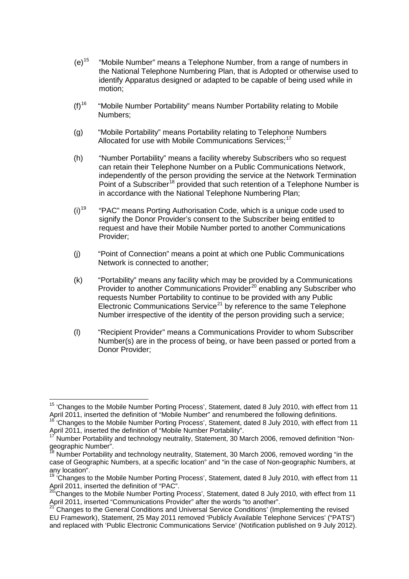- (e)[15](#page-6-0) "Mobile Number" means a Telephone Number, from a range of numbers in the National Telephone Numbering Plan, that is Adopted or otherwise used to identify Apparatus designed or adapted to be capable of being used while in motion;
- $(f)$ <sup>[16](#page-6-0)</sup> "Mobile Number Portability" means Number Portability relating to Mobile Numbers;
- (g) "Mobile Portability" means Portability relating to Telephone Numbers Allocated for use with Mobile Communications Services:<sup>[17](#page-6-0)</sup>
- (h) "Number Portability" means a facility whereby Subscribers who so request can retain their Telephone Number on a Public Communications Network, independently of the person providing the service at the Network Termination Point of a Subscriber<sup>[18](#page-6-0)</sup> provided that such retention of a Telephone Number is in accordance with the National Telephone Numbering Plan;
- $(i)$ <sup>[19](#page-6-0)</sup> "PAC" means Porting Authorisation Code, which is a unique code used to signify the Donor Provider's consent to the Subscriber being entitled to request and have their Mobile Number ported to another Communications Provider;
- (j) "Point of Connection" means a point at which one Public Communications Network is connected to another;
- (k) "Portability" means any facility which may be provided by a Communications Provider to another Communications Provider<sup>[20](#page-6-0)</sup> enabling any Subscriber who requests Number Portability to continue to be provided with any Public Electronic Communications Service<sup>[21](#page-6-0)</sup> by reference to the same Telephone Number irrespective of the identity of the person providing such a service;
- (l) "Recipient Provider" means a Communications Provider to whom Subscriber Number(s) are in the process of being, or have been passed or ported from a Donor Provider;

<span id="page-6-0"></span><sup>&</sup>lt;sup>15</sup> 'Changes to the Mobile Number Porting Process', Statement, dated 8 July 2010, with effect from 11<br>April 2011, inserted the definition of "Mobile Number" and renumbered the following definitions.

<sup>&</sup>lt;sup>16</sup> 'Changes to the Mobile Number Porting Process', Statement, dated 8 July 2010, with effect from 11 April 2011, inserted the definition of "Mobile Number Portability".

<sup>17</sup> Number Portability and technology neutrality, Statement, 30 March 2006, removed definition "Nongeographic Number".

<sup>18</sup> Number Portability and technology neutrality, Statement, 30 March 2006, removed wording "in the case of Geographic Numbers, at a specific location" and "in the case of Non-geographic Numbers, at any location".

<sup>&</sup>lt;sup>19</sup> 'Changes to the Mobile Number Porting Process', Statement, dated 8 July 2010, with effect from 11 April 2011, inserted the definition of "PAC".

<sup>&</sup>lt;sup>20'</sup>Changes to the Mobile Number Porting Process', Statement, dated 8 July 2010, with effect from 11 April 2011, inserted "Communications Provider" after the words "to another".

<sup>21</sup> Changes to the General Conditions and Universal Service Conditions' (Implementing the revised EU Framework), Statement, 25 May 2011 removed 'Publicly Available Telephone Services' ("PATS") and replaced with 'Public Electronic Communications Service' (Notification published on 9 July 2012).